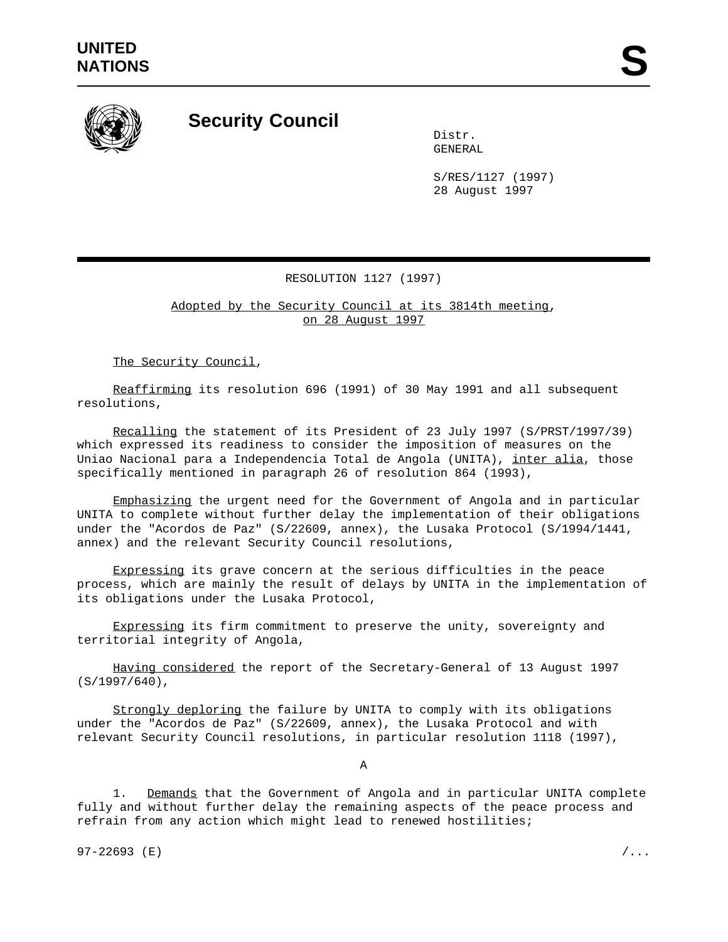

**Security Council**

Distr. GENERAL

S/RES/1127 (1997) 28 August 1997

## RESOLUTION 1127 (1997)

Adopted by the Security Council at its 3814th meeting, on 28 August 1997

The Security Council,

Reaffirming its resolution 696 (1991) of 30 May 1991 and all subsequent resolutions,

Recalling the statement of its President of 23 July 1997 (S/PRST/1997/39) which expressed its readiness to consider the imposition of measures on the Uniao Nacional para a Independencia Total de Angola (UNITA), inter alia, those specifically mentioned in paragraph 26 of resolution 864 (1993),

Emphasizing the urgent need for the Government of Angola and in particular UNITA to complete without further delay the implementation of their obligations under the "Acordos de Paz" (S/22609, annex), the Lusaka Protocol (S/1994/1441, annex) and the relevant Security Council resolutions,

Expressing its grave concern at the serious difficulties in the peace process, which are mainly the result of delays by UNITA in the implementation of its obligations under the Lusaka Protocol,

Expressing its firm commitment to preserve the unity, sovereignty and territorial integrity of Angola,

Having considered the report of the Secretary-General of 13 August 1997 (S/1997/640),

Strongly deploring the failure by UNITA to comply with its obligations under the "Acordos de Paz" (S/22609, annex), the Lusaka Protocol and with relevant Security Council resolutions, in particular resolution 1118 (1997),

A

1. Demands that the Government of Angola and in particular UNITA complete fully and without further delay the remaining aspects of the peace process and refrain from any action which might lead to renewed hostilities;

97-22693 (E)  $/$ ...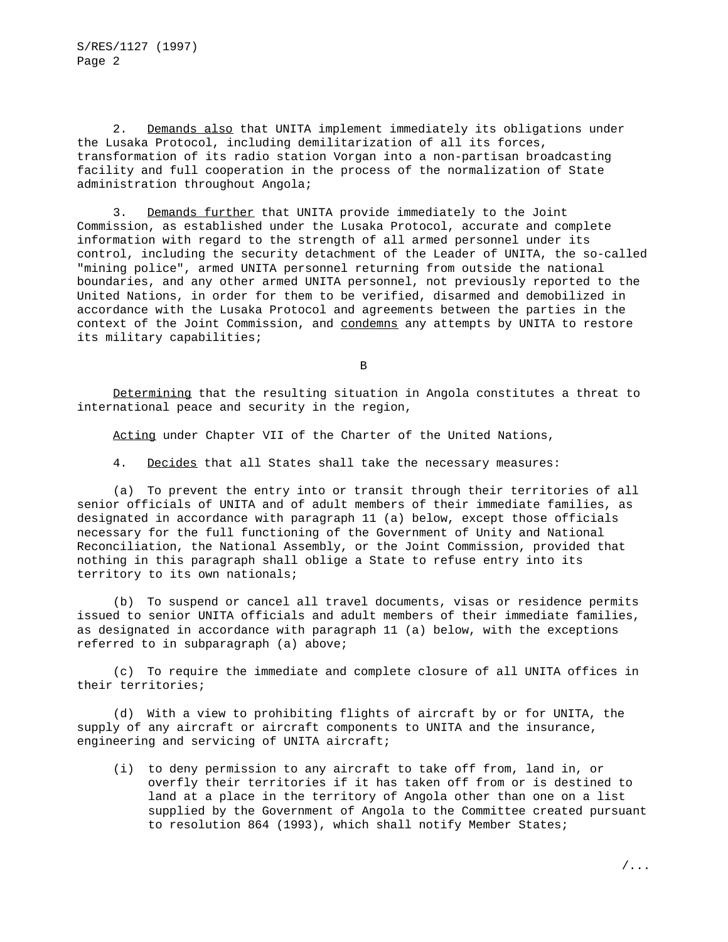2. Demands also that UNITA implement immediately its obligations under the Lusaka Protocol, including demilitarization of all its forces, transformation of its radio station Vorgan into a non-partisan broadcasting facility and full cooperation in the process of the normalization of State administration throughout Angola;

3. Demands further that UNITA provide immediately to the Joint Commission, as established under the Lusaka Protocol, accurate and complete information with regard to the strength of all armed personnel under its control, including the security detachment of the Leader of UNITA, the so-called "mining police", armed UNITA personnel returning from outside the national boundaries, and any other armed UNITA personnel, not previously reported to the United Nations, in order for them to be verified, disarmed and demobilized in accordance with the Lusaka Protocol and agreements between the parties in the context of the Joint Commission, and condemns any attempts by UNITA to restore its military capabilities;

B

Determining that the resulting situation in Angola constitutes a threat to international peace and security in the region,

Acting under Chapter VII of the Charter of the United Nations,

4. Decides that all States shall take the necessary measures:

(a) To prevent the entry into or transit through their territories of all senior officials of UNITA and of adult members of their immediate families, as designated in accordance with paragraph 11 (a) below, except those officials necessary for the full functioning of the Government of Unity and National Reconciliation, the National Assembly, or the Joint Commission, provided that nothing in this paragraph shall oblige a State to refuse entry into its territory to its own nationals;

(b) To suspend or cancel all travel documents, visas or residence permits issued to senior UNITA officials and adult members of their immediate families, as designated in accordance with paragraph 11 (a) below, with the exceptions referred to in subparagraph (a) above;

(c) To require the immediate and complete closure of all UNITA offices in their territories;

(d) With a view to prohibiting flights of aircraft by or for UNITA, the supply of any aircraft or aircraft components to UNITA and the insurance, engineering and servicing of UNITA aircraft;

(i) to deny permission to any aircraft to take off from, land in, or overfly their territories if it has taken off from or is destined to land at a place in the territory of Angola other than one on a list supplied by the Government of Angola to the Committee created pursuant to resolution 864 (1993), which shall notify Member States;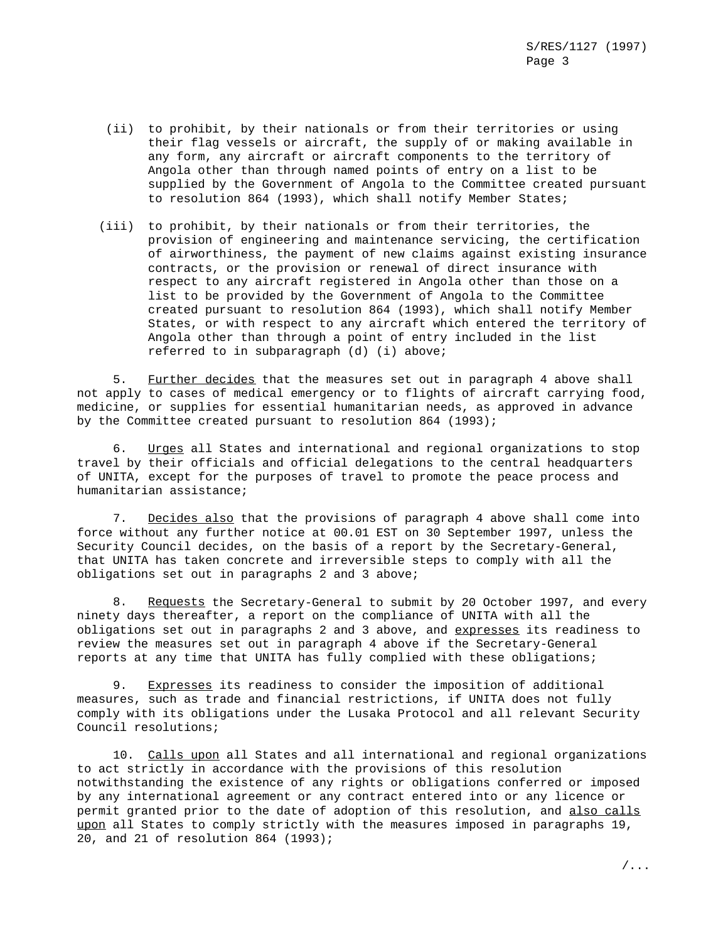- (ii) to prohibit, by their nationals or from their territories or using their flag vessels or aircraft, the supply of or making available in any form, any aircraft or aircraft components to the territory of Angola other than through named points of entry on a list to be supplied by the Government of Angola to the Committee created pursuant to resolution 864 (1993), which shall notify Member States;
- (iii) to prohibit, by their nationals or from their territories, the provision of engineering and maintenance servicing, the certification of airworthiness, the payment of new claims against existing insurance contracts, or the provision or renewal of direct insurance with respect to any aircraft registered in Angola other than those on a list to be provided by the Government of Angola to the Committee created pursuant to resolution 864 (1993), which shall notify Member States, or with respect to any aircraft which entered the territory of Angola other than through a point of entry included in the list referred to in subparagraph (d) (i) above;

5. Further decides that the measures set out in paragraph 4 above shall not apply to cases of medical emergency or to flights of aircraft carrying food, medicine, or supplies for essential humanitarian needs, as approved in advance by the Committee created pursuant to resolution 864 (1993);

6. Urges all States and international and regional organizations to stop travel by their officials and official delegations to the central headquarters of UNITA, except for the purposes of travel to promote the peace process and humanitarian assistance;

7. Decides also that the provisions of paragraph 4 above shall come into force without any further notice at 00.01 EST on 30 September 1997, unless the Security Council decides, on the basis of a report by the Secretary-General, that UNITA has taken concrete and irreversible steps to comply with all the obligations set out in paragraphs 2 and 3 above;

8. Requests the Secretary-General to submit by 20 October 1997, and every ninety days thereafter, a report on the compliance of UNITA with all the obligations set out in paragraphs 2 and 3 above, and expresses its readiness to review the measures set out in paragraph 4 above if the Secretary-General reports at any time that UNITA has fully complied with these obligations;

9. Expresses its readiness to consider the imposition of additional measures, such as trade and financial restrictions, if UNITA does not fully comply with its obligations under the Lusaka Protocol and all relevant Security Council resolutions;

10. Calls upon all States and all international and regional organizations to act strictly in accordance with the provisions of this resolution notwithstanding the existence of any rights or obligations conferred or imposed by any international agreement or any contract entered into or any licence or permit granted prior to the date of adoption of this resolution, and also calls upon all States to comply strictly with the measures imposed in paragraphs 19, 20, and 21 of resolution 864 (1993);